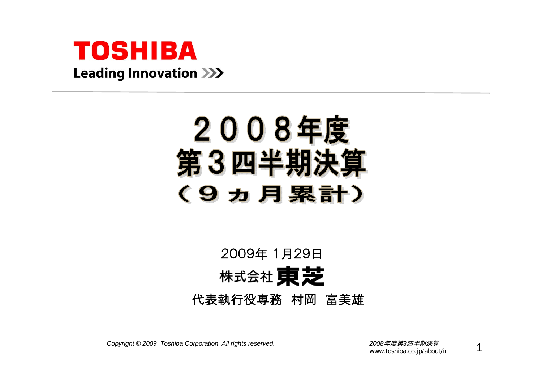

## 2008年度 第3四半期決1 (9カ月累計)

## 2009年 1月29日株式会社 東芝 代表執行役専務 村岡 富美雄

*Copyright © <sup>2009</sup> Toshiba Corporation. All rights reserved. <sup>2008</sup>*年度第*3*四半期決算

www.toshiba.co.jp/about/ir

1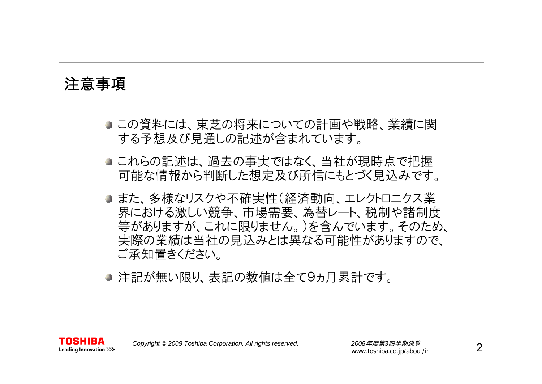#### 注意事項

- この資料には、東芝の将来についての計画や戦略、業績に関 する予想及び見通しの記述が含まれています。
- これらの記述は、過去の事実ではなく、当社が現時点で把握 可能な情報から判断した想定及び所信にもとづく見込みです。
- また、多様なリスクや不確実性(経済動向、エレクトロニクス業 界における激しい競争、市場需要、為替レート、税制や諸制度 等がありますが、これに限りません。)を含んでいます。そのため、 実際の業績は当社の見込みとは異なる可能性がありますので、 ご承知置きください。
- 注記が無い限り、表記の数値は全て9ヵ月累計です。

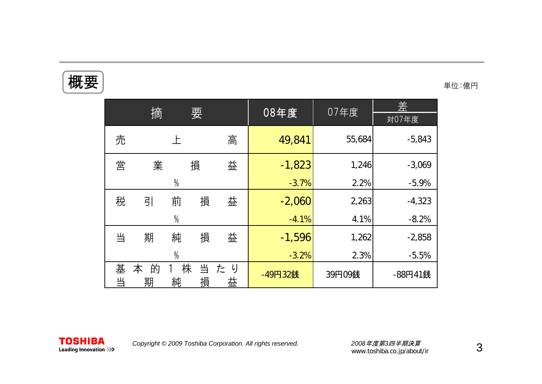## 概要

単位:億円

|        |             |               |        |         | 08年度     | 07年度   | 差        |
|--------|-------------|---------------|--------|---------|----------|--------|----------|
|        | 摘           |               | 要      |         |          |        | 対07年度    |
| 売      |             | 上             |        | 高       | 49,841   | 55,684 | $-5,843$ |
| 営      | 業           |               | 損      | 益       | $-1,823$ | 1,246  | $-3,069$ |
|        |             | $\frac{0}{0}$ |        |         | $-3.7%$  | 2.2%   | $-5.9%$  |
| 税      | 引           | 前             | 損      | 益       | $-2,060$ | 2,263  | $-4,323$ |
|        |             | $\frac{0}{0}$ |        |         | $-4.1%$  | 4.1%   | $-8.2%$  |
| 当      | 期           | 純             | 損      | 益       | $-1,596$ | 1,262  | $-2,858$ |
|        |             | $\frac{0}{0}$ |        |         | $-3.2%$  | 2.3%   | $-5.5%$  |
| 基<br>当 | 的<br>本<br>期 | 株<br>純        | 当<br>損 | たり<br>益 | -49円32銭  | 39円09銭 | -88円41銭  |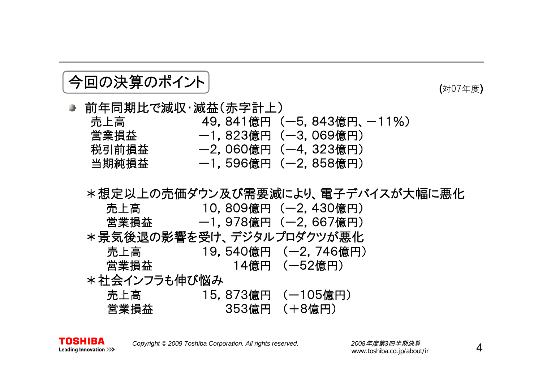#### 今回の決算のポイント

(対07年度 )

- 前年同期比で減収・減益(赤字計上) 売上高 49,841億円 (一5,843億円、一11%) 営業損益 ー1,823億円 (ー3,069億円) 税引前損益 ー2,060億円 (ー4,323億円) 当期純損益 ー1,596億円 (ー2,858億円)
	- \*想定以上の売価ダウン及び需要減により、電子デバイスが大幅に悪化 売上高 10,809億円 (ー2,430億円) 営業損益 ー1,978億円 (ー2,667億円) \*景気後退の影響を受け、デジタルプロダクツが悪化 売上高 19,540億円 (ー2,746億円) 営業損益 14億円 (ー52億円) \*社会インフラも伸び悩み 売上高 15,873億円 (ー105億円) 営業損益 353億円 (+8億円)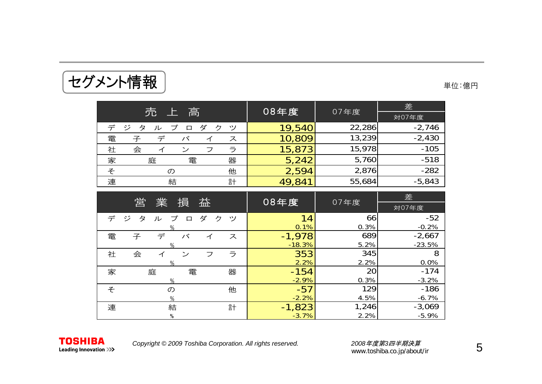| セグメント情報 | 単位:億円 |
|---------|-------|
|         |       |

| 売上高                                   | 08年度   |        | 差        |  |
|---------------------------------------|--------|--------|----------|--|
|                                       |        | 07年度   | 対07年度    |  |
| デ<br>ジ<br>ダ<br>タ<br>ク<br>ッソ<br>ル<br>口 | 19,540 | 22,286 | $-2,746$ |  |
| 電<br>デ<br>子<br>バ<br>ス                 | 10,809 | 13,239 | $-2,430$ |  |
| 社<br>会<br>ラ<br>ン<br>フ<br>⊿            | 15,873 | 15,978 | $-105$   |  |
| 家<br>器<br>電<br>庭                      | 5,242  | 5,760  | $-518$   |  |
| 他<br>そ<br>$\sigma$                    | 2,594  | 2,876  | $-282$   |  |
| 連<br>結<br>計                           | 49,841 | 55,684 | $-5,843$ |  |
|                                       |        |        |          |  |
| 営<br>業<br>益<br>損                      | 08年度   | 07年度   | 差        |  |
|                                       |        |        | 対07年度    |  |
| ダ<br>ジ<br>デ<br>ク<br>タ<br>ッ<br>ル<br>口  | 14     | 66     | $-52$    |  |
| 0/2                                   | 0.1%   | 0.3%   | $-0.2\%$ |  |

|   | 営<br>業      | 損           | 益      |    | 08年度     | 07年度  | 左        |
|---|-------------|-------------|--------|----|----------|-------|----------|
|   |             |             |        |    |          |       | 対07年度    |
| デ | ジ<br>タ<br>ル | プ<br>$\Box$ | ダ<br>ク | ッソ | 14       | 66    | $-52$    |
|   |             |             |        |    | 0.1%     | 0.3%  | $-0.2%$  |
| 電 | 子<br>デ      | バ           | イ      | ス  | $-1,978$ | 689   | $-2,667$ |
|   | $\%$        |             |        |    | $-18.3%$ | 5.2%  | $-23.5%$ |
| 社 | 会<br>イ      | ン           | フ      | ラ  | 353      | 345   | 8        |
|   | $\%$        |             |        |    | 2.2%     | 2.2%  | 0.0%     |
| 家 | 庭           | 電           |        | 器  | $-154$   | 20    | $-174$   |
|   | $\%$        |             |        |    | $-2.9%$  | 0.3%  | $-3.2%$  |
| そ | $\sigma$    |             |        | 他  | $-57$    | 129   | $-186$   |
|   | %           |             |        |    | $-2.2%$  | 4.5%  | $-6.7%$  |
| 連 | 結           |             |        | 計  | $-1,823$ | 1,246 | $-3,069$ |
|   | %           |             |        |    | $-3.7%$  | 2.2%  | $-5.9%$  |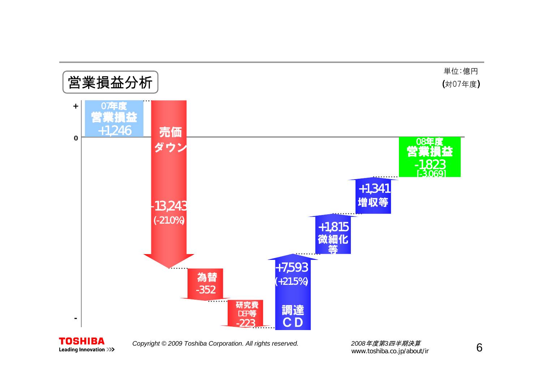



*Copyright © <sup>2009</sup> Toshiba Corporation. All rights reserved. <sup>2008</sup>*年度第*3*四半期決算

www.toshiba.co.jp/about/ir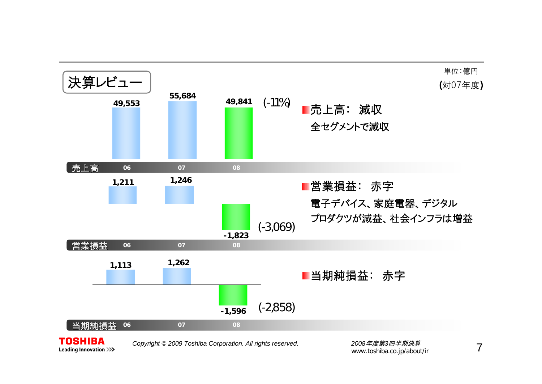

**Leading Innovation >>>** 

7

www.toshiba.co.jp/about/ir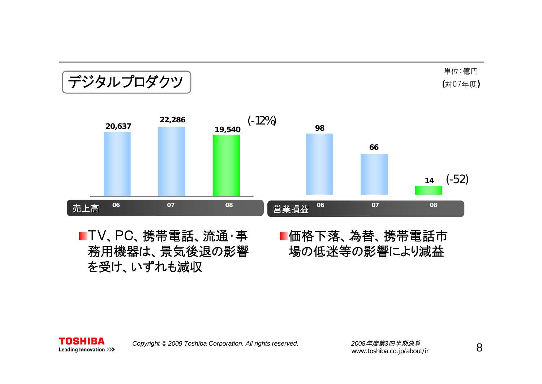## デジタルプロダクツ

単位:億円 (対07年度)



TV、PC、携帯電話、流通・事 務用機器は、景気後退の影響 を受け、いずれも減収

#### 価格下落、為替、携帯電話市 場の低迷等の影響により減益

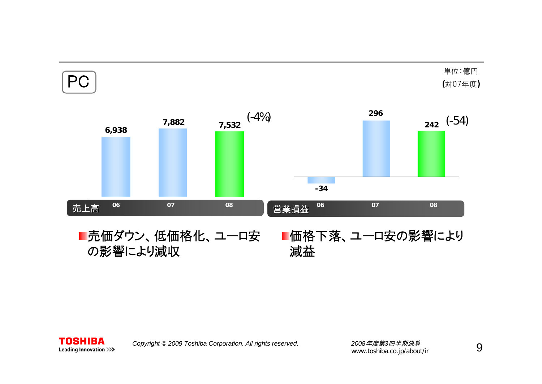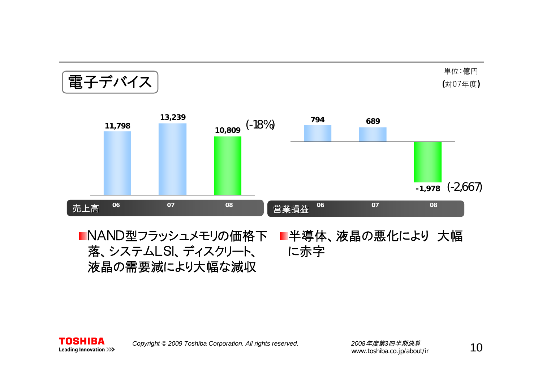電子デバイス

単位:億円 (対07年度)



NAND型フラッシュメモリの価格下 半導体、液晶の悪化により 大幅 落、システムLSI、ディスクリート、 に赤字 液晶の需要減により大幅な減収

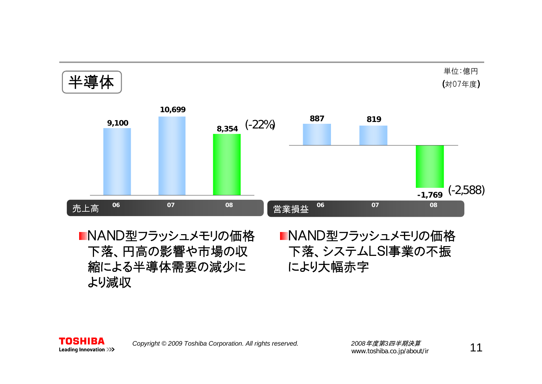

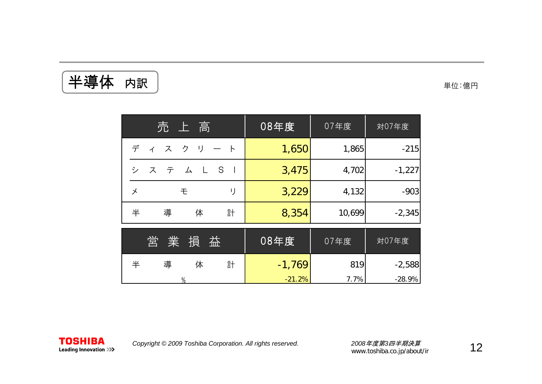半導体 内訳

単位:億円

| 売上高                                              | 08年度     | 07年度   | 対07年度    |
|--------------------------------------------------|----------|--------|----------|
| デ<br>ィスクリ<br>$\rightarrow$                       | 1,650    | 1,865  | $-215$   |
| $^{\circ}$ S<br>$\sqrt{2}$<br>$\perp$<br>シ<br>ステ | 3,475    | 4,702  | $-1,227$ |
| IJ<br>メ<br>モ                                     | 3,229    | 4,132  | $-903$   |
| 導<br>半<br>体<br>計                                 | 8,354    | 10,699 | $-2,345$ |
| 業<br>営<br>損<br>益                                 | 08年度     | 07年度   | 対07年度    |
| 半<br>導<br>体<br>計                                 | $-1,769$ | 819    | $-2,588$ |
| $\%$                                             | $-21.2%$ | 7.7%   | $-28.9%$ |

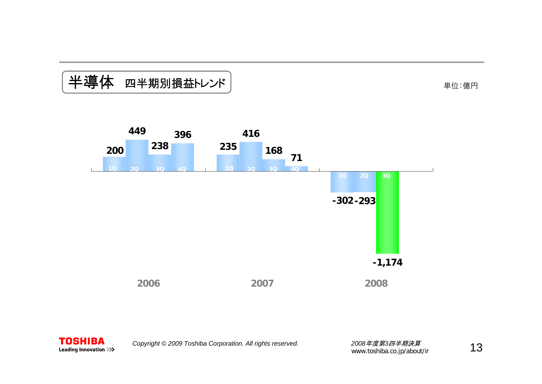## 半導体 四半期別損益トレンド

単位:億円



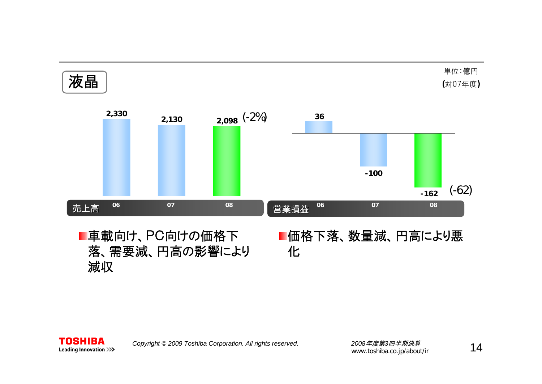

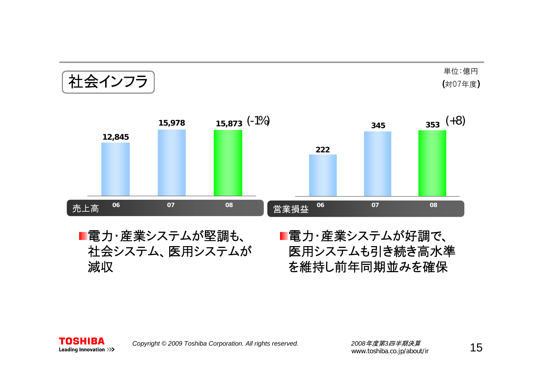社会インフラ

単位:億円 (対07年度)



■電力・産業システムが堅調も、 社会システム、医用システムが 減収

■電力・産業システムが好調で、 医用システムも引き続き高水準 を維持し前年同期並みを確保

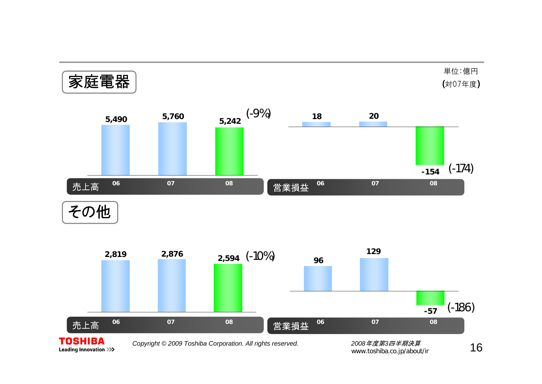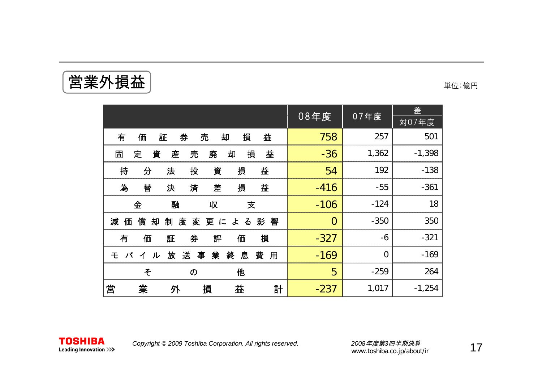**営業外損益 キャランス まんじゅつ せいしょう せいきょう せいきょう せいきょう きょうかい きょうかい きょうかい きょうかい きょうかい きょうかい しょうかい** 

|                                                  |                |                | 差        |
|--------------------------------------------------|----------------|----------------|----------|
|                                                  | 08年度           | 07年度           | 対07年度    |
| 損<br>益<br>券<br>有<br>証<br>売<br>却<br>価             | 758            | 257            | 501      |
| 益<br>損<br>固<br>定<br>資<br>産<br>売<br>廃<br>却        | $-36$          | 1,362          | $-1,398$ |
| 持<br>分<br>法<br>投<br>資<br>損<br>益                  | 54             | 192            | $-138$   |
| 為<br>損<br>益<br>替<br>済<br>差<br>决                  | $-416$         | $-55$          | $-361$   |
| 金<br>融<br>支<br>収                                 | $-106$         | $-124$         | 18       |
| 償<br>減<br>度<br>却<br>制<br>変更による影響<br>価            | $\overline{0}$ | $-350$         | 350      |
| 損<br>券<br>有<br>価<br>証<br>評<br>価                  | $-327$         | $-6$           | $-321$   |
| 業<br>終<br>送<br>息<br>放<br>事<br>費<br>用<br>モバ<br>イル | $-169$         | $\overline{0}$ | $-169$   |
| 他<br>そ<br>の                                      | 5              | $-259$         | 264      |
| 営<br>業<br>益<br>損<br>計<br>外                       | $-237$         | 1,017          | $-1,254$ |

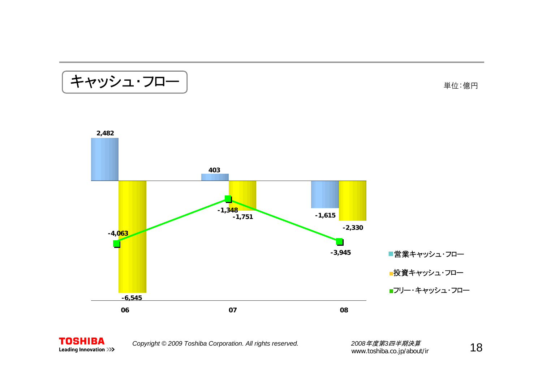キャッシュ・フロー

単位:億円





*Copyright © <sup>2009</sup> Toshiba Corporation. All rights reserved. <sup>2008</sup>*年度第*3*四半期決算

\_2*008年度第3四半期決算*<br>www.toshiba.co.jp/about/ir \_\_\_\_\_\_\_\_\_\_\_\_**\_\_1 8**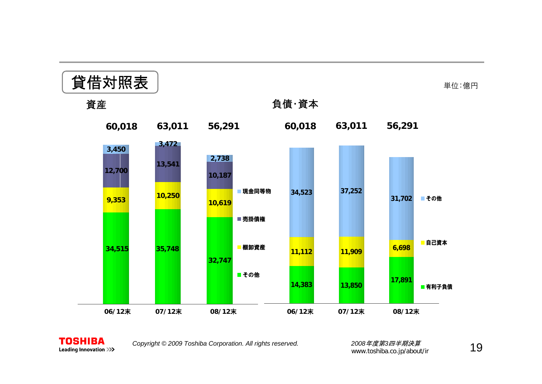



*Copyright © <sup>2009</sup> Toshiba Corporation. All rights reserved. <sup>2008</sup>*年度第*3*四半期決算

2*008年度第3四半期決算*<br>www.toshiba.co.jp/about/ir 19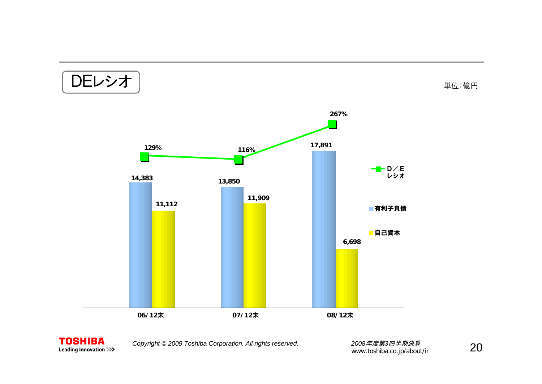**14,383 11,112 13,850 11,909 17,891 6,698** 有利子負債 自己資本 DEレシオ **06/12**末 **07/12** 末 **08/12** 末**129% 116%267%**D/Eレシオ単位:億円



*Copyright © <sup>2009</sup> Toshiba Corporation. All rights reserved. <sup>2008</sup>*年度第*3*四半期決算

2008*年度第3四半期決算*<br>www.toshiba.co.jp/about/ir **20**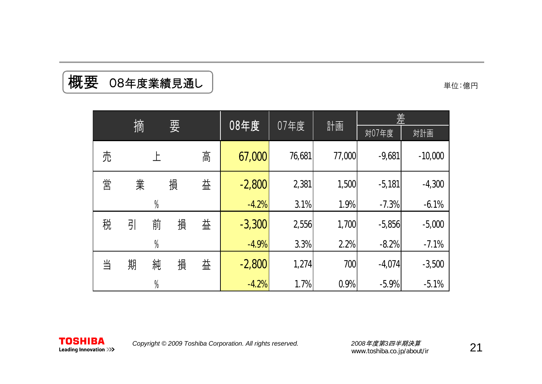| 摘<br>要 |   | 08年度          |      |    | 差        |        |        |          |           |
|--------|---|---------------|------|----|----------|--------|--------|----------|-----------|
|        |   |               | 07年度 | 計画 | 対07年度    | 対計画    |        |          |           |
| 売      |   |               |      | 高  | 67,000   | 76,681 | 77,000 | $-9,681$ | $-10,000$ |
| 営      | 業 |               | 損    | 益  | $-2,800$ | 2,381  | 1,500  | $-5,181$ | $-4,300$  |
|        |   | $\frac{0}{0}$ |      |    | $-4.2%$  | 3.1%   | 1.9%   | $-7.3%$  | $-6.1%$   |
| 税      | 引 | 前             | 損    | 益  | $-3,300$ | 2,556  | 1,700  | $-5,856$ | $-5,000$  |
|        |   | $\frac{0}{0}$ |      |    | $-4.9%$  | 3.3%   | 2.2%   | $-8.2%$  | $-7.1%$   |
| 当      | 期 | 純             | 損    | 益  | $-2,800$ | 1,274  | 700    | $-4,074$ | $-3,500$  |
|        |   | $\frac{0}{0}$ |      |    | $-4.2%$  | 1.7%   | 0.9%   | $-5.9%$  | $-5.1%$   |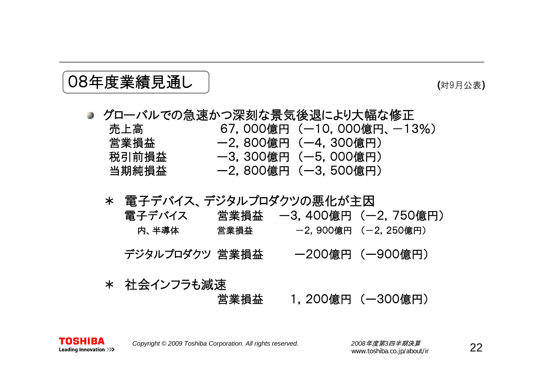#### 08年度業績見通し

#### (対9月公表 )

#### ● グローバルでの急速かつ深刻な景気後退により大幅な修正 売上高 67,000億円 (一10,000億円、一13%) 営業損益 ー2,800億円 (ー4,300億円) 税引前損益 ー3,300億円 (ー5,000億円) 当期純損益 ー2,800億円 (ー3,500億円)

#### \* 電子デバイス、デジタルプロダクツの悪化が主因 電子デバイス 営業損益 ー3,400億円 (ー2,750億円)

内、半導体 営業損益 -2,900億円 (-2,250億円)

デジタルプロダクツ 営業損益 ー200億円 (ー900億円)

\* 社会インフラも減速 営業損益 1,200億円 (ー300億円)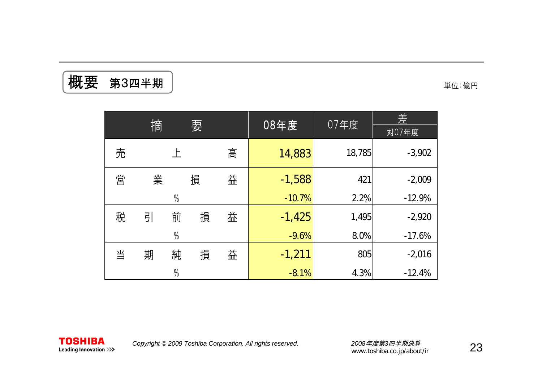$\left[\begin{array}{cc} \mathbf{r} & \mathbf{r} \ \mathbf{r} & \mathbf{r} \ \mathbf{r} & \mathbf{r} \end{array} \right]$  , we are the set of  $\mathbf{r}$  and  $\mathbf{r}$  and  $\mathbf{r}$  and  $\mathbf{r}$  and  $\mathbf{r}$  and  $\mathbf{r}$  and  $\mathbf{r}$  and  $\mathbf{r}$  and  $\mathbf{r}$  and  $\mathbf{r}$  and  $\mathbf{r} \$ 

|   | 摘<br>要 |               |   |   | 08年度     | 07年度   | 崖        |
|---|--------|---------------|---|---|----------|--------|----------|
|   |        |               |   |   |          | 対07年度  |          |
| 売 |        | 上             |   | 高 | 14,883   | 18,785 | $-3,902$ |
| 営 | 業      |               | 損 | 益 | $-1,588$ | 421    | $-2,009$ |
|   |        | $\frac{0}{0}$ |   |   | $-10.7%$ | 2.2%   | $-12.9%$ |
| 税 | 引      | 前             | 損 | 益 | $-1,425$ | 1,495  | $-2,920$ |
|   |        | $\%$          |   |   | $-9.6%$  | 8.0%   | $-17.6%$ |
| 当 | 期      | 純             | 損 | 益 | $-1,211$ | 805    | $-2,016$ |
|   |        | $\frac{0}{0}$ |   |   | $-8.1%$  | 4.3%   | $-12.4%$ |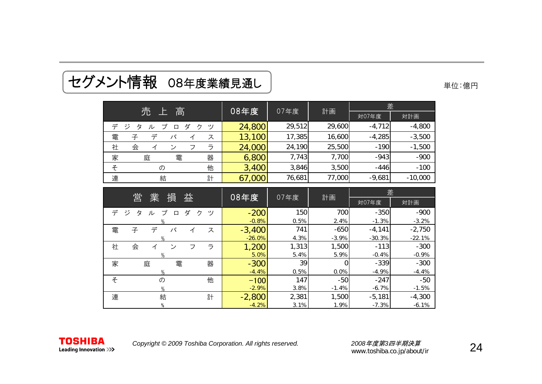| 売 上 高                                           | 08年度     |        |         | 差        |           |  |
|-------------------------------------------------|----------|--------|---------|----------|-----------|--|
|                                                 |          | 07年度   | 計画      | 対07年度    | 対計画       |  |
| デ<br>ジ<br>ダ<br>ク<br>タ<br>プ<br>ツ<br>ル<br>$\Box$  | 24,800   | 29,512 | 29,600  | $-4,712$ | $-4,800$  |  |
| デ<br>電<br>子<br>バ<br>ス<br>イ                      | 13,100   | 17,385 | 16,600  | $-4,285$ | $-3,500$  |  |
| ラ<br>社<br>会<br>フ<br>$\mathcal{L}$<br>イ          | 24,000   | 24,190 | 25,500  | $-190$   | $-1,500$  |  |
| 器<br>家<br>電<br>庭                                | 6,800    | 7,743  | 7,700   | $-943$   | $-900$    |  |
| 他<br>そ<br>の                                     | 3,400    | 3,846  | 3,500   | $-446$   | $-100$    |  |
| 連<br>結<br>計                                     | 67,000   | 76,681 | 77,000  | $-9,681$ | $-10,000$ |  |
|                                                 |          |        |         |          |           |  |
| 営<br>業<br>損<br>益                                | 08年度     | 07年度   | 計画      | 差        |           |  |
|                                                 |          |        |         | 対07年度    | 対計画       |  |
| ジ<br>デ<br>タ<br>ダ<br>プ<br>ク<br>ッソ<br>ル<br>$\Box$ | $-200$   | 150    | 700     | $-350$   | $-900$    |  |
|                                                 | $-0.8%$  | 0.5%   | 2.4%    | $-1.3%$  | $-3.2%$   |  |
| デ<br>子<br>バ<br>電<br>ス<br>イ                      | $-3,400$ | 741    | $-650$  | $-4,141$ | $-2,750$  |  |
| $\frac{0}{0}$                                   | $-26.0%$ | 4.3%   | $-3.9%$ | $-30.3%$ | $-22.1%$  |  |
| ラ<br>社<br>会<br>フ<br>ン<br>イ                      | 1,200    | 1,313  | 1,500   | $-113$   | $-300$    |  |
| $\frac{0}{0}$                                   | 5.0%     | 5.4%   | 5.9%    | $-0.4%$  | $-0.9%$   |  |
| 家<br>庭<br>電<br>器                                | $-300$   | 39     | 0       | $-339$   | $-300$    |  |
| %                                               | $-4.4%$  | 0.5%   | 0.0%    | $-4.9%$  | $-4.4%$   |  |
| そ<br>他<br>の                                     | $-100$   | 147    | $-50$   | $-247$   | $-50$     |  |
| $\%$                                            | $-2.9%$  | 3.8%   | $-1.4%$ | $-6.7%$  | $-1.5%$   |  |
| 結<br>連<br>計                                     | $-2,800$ | 2,381  | 1,500   | $-5,181$ | $-4,300$  |  |
|                                                 |          |        |         |          |           |  |

## セグメント情報 08年度業績見通し 単位:億円

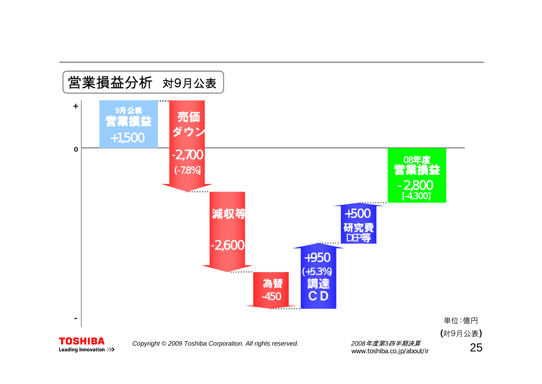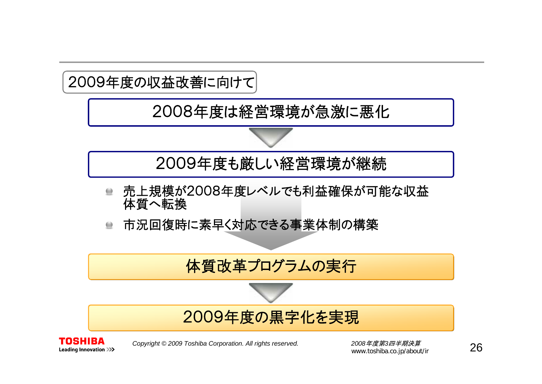

2008年度は経営環境が急激に悪化



2009年度も厳しい経営環境が継続

- 売上規模が2008年度レベルでも利益確保が可能な収益  $\qquad \qquad \qquad \qquad \blacksquare$ 体質へ転換
- 市況回復時に素早く対応できる事業体制の構築  $\qquad \qquad \qquad \qquad \blacksquare$

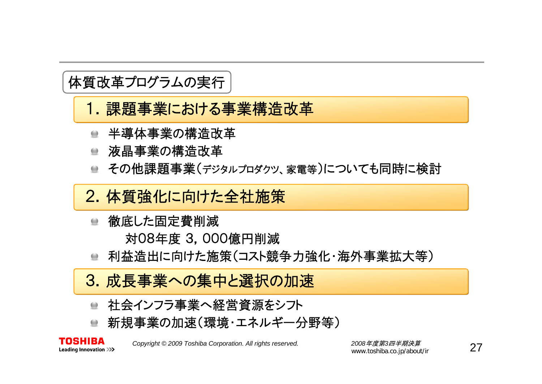#### 体質改革プログラムの実行

- 1. 課題事業における事業構造改革
- 半導体事業の構造改革
- 液晶事業の構造改革
- その他課題事業(デジタルプロダクツ、家電等)についても同時に検討
- 2.体質強化に向けた全社施策
	- 徹底した固定費削減  $\qquad \qquad \blacksquare$ 対08年度 3,000億円削減
	- 利益造出に向けた施策(コスト競争力強化・海外事業拡大等)  $\bullet$
- 3. 成長事業への集中と選択の加速
	- 社会インフラ事業へ経営資源をシフト
	- 新規事業の加速(環境・エネルギー分野等)  $\qquad \qquad \blacksquare$



*Copyright © <sup>2009</sup> Toshiba Corporation. All rights reserved. <sup>2008</sup>*年度第*3*四半期決算